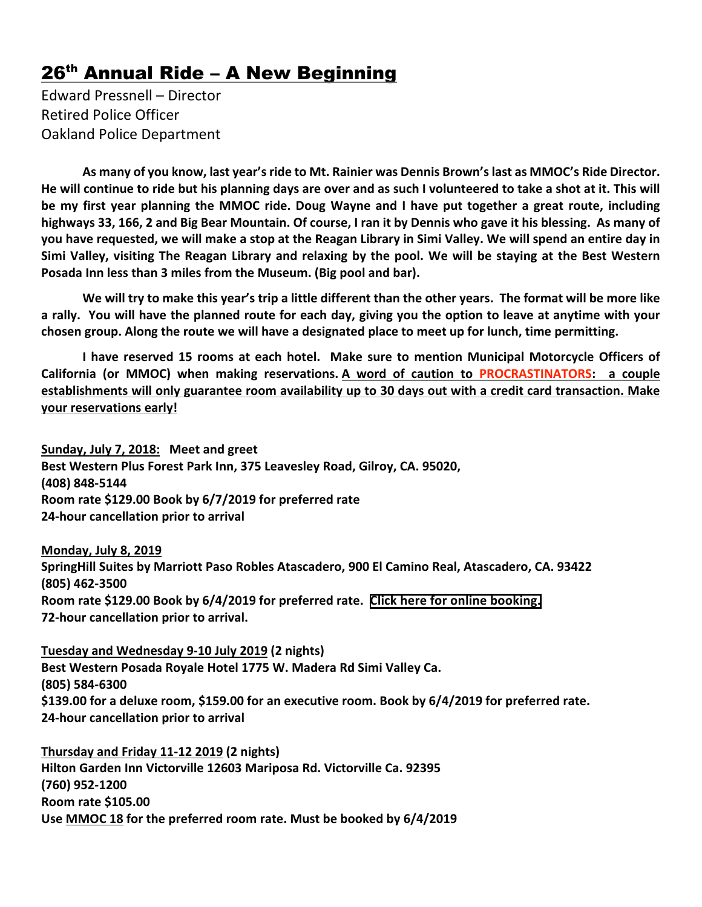## $26<sup>th</sup>$  Annual Ride – A New Beginning

Edward Pressnell – Director Retired Police Officer Oakland Police Department

**As many of you know, last year'sride to Mt. Rainier was Dennis Brown'slast as MMOC's Ride Director.** He will continue to ride but his planning days are over and as such I volunteered to take a shot at it. This will be my first year planning the MMOC ride. Doug Wayne and I have put together a great route, including highways 33, 166, 2 and Big Bear Mountain. Of course, I ran it by Dennis who gave it his blessing. As many of you have requested, we will make a stop at the Reagan Library in Simi Valley. We will spend an entire day in Simi Valley, visiting The Reagan Library and relaxing by the pool. We will be staying at the Best Western **Posada Inn less than 3 miles from the Museum. (Big pool and bar).**

We will try to make this year's trip a little different than the other years. The format will be more like a rally. You will have the planned route for each day, giving you the option to leave at anytime with your chosen group. Along the route we will have a designated place to meet up for lunch, time permitting.

**I have reserved 15 rooms at each hotel. Make sure to mention Municipal Motorcycle Officers of California (or MMOC) when making reservations. A word of caution to PROCRASTINATORS: a couple** establishments will only guarantee room availability up to 30 days out with a credit card transaction. Make **your reservations early!**

**Sunday, July 7, 2018: Meet and greet Best Western Plus Forest Park Inn, 375 Leavesley Road, Gilroy, CA. 95020, (408) 848-5144 Room rate \$129.00 Book by 6/7/2019 for preferred rate 24-hour cancellation prior to arrival**

**Monday, July 8, 2019 SpringHill Suites by Marriott Paso Robles Atascadero, 900 El Camino Real, Atascadero, CA. 93422 (805) 462-3500 Room rate \$129.00 Book by 6/4/2019 for preferred rate. Click here for online [booking.](http://www.marriott.com/meeting-event-hotels/group-corporate-travel/groupCorp.mi?resLinkData=Municipal%20Motorcycle%20Officers%5Esbpsh%60MMOMMOA%7CMMOMMOB%60129.00%60USD%60false%601%607/8/19%607/9/19%606/8/19&app=resvlink&stop_mobi=yes) 72-hour cancellation prior to arrival.**

**Tuesday and Wednesday 9-10 July 2019 (2 nights) Best Western Posada Royale Hotel 1775 W. Madera Rd Simi Valley Ca. (805) 584-6300 \$139.00 for a deluxe room, \$159.00 for an executive room. Book by 6/4/2019 for preferred rate. 24-hour cancellation prior to arrival**

**Thursday and Friday 11-12 2019 (2 nights) Hilton Garden Inn Victorville 12603 Mariposa Rd. Victorville Ca. 92395 (760) 952-1200 Room rate \$105.00 Use MMOC 18 for the preferred room rate. Must be booked by 6/4/2019**